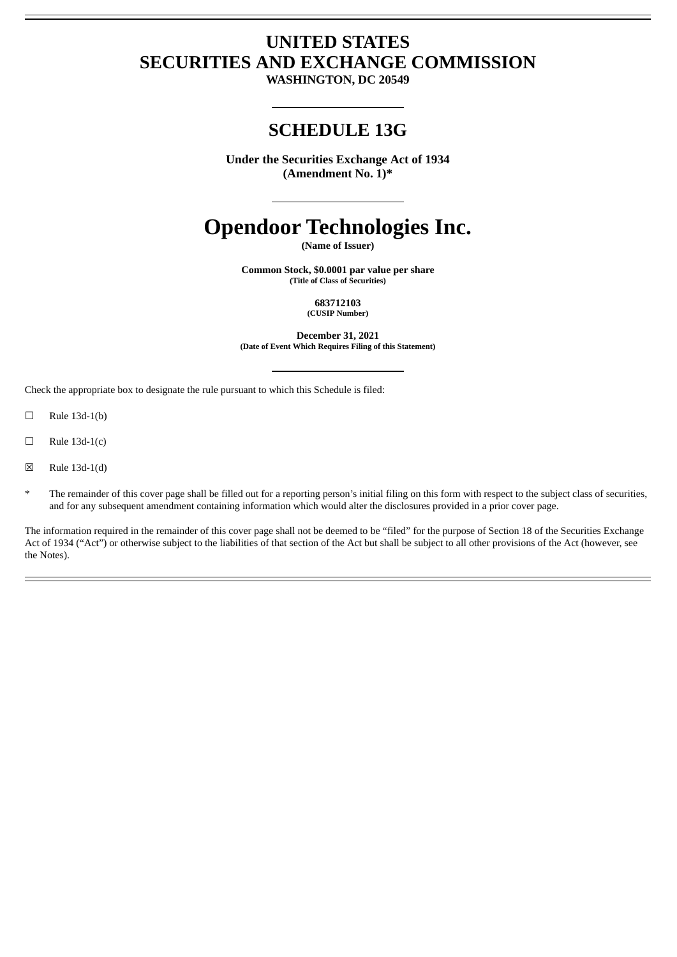## **UNITED STATES SECURITIES AND EXCHANGE COMMISSION**

**WASHINGTON, DC 20549**

### **SCHEDULE 13G**

**Under the Securities Exchange Act of 1934 (Amendment No. 1)\***

# **Opendoor Technologies Inc.**

**(Name of Issuer)**

**Common Stock, \$0.0001 par value per share (Title of Class of Securities)**

> **683712103 (CUSIP Number)**

**December 31, 2021 (Date of Event Which Requires Filing of this Statement)**

Check the appropriate box to designate the rule pursuant to which this Schedule is filed:

 $\Box$  Rule 13d-1(b)

 $\Box$  Rule 13d-1(c)

☒ Rule 13d-1(d)

\* The remainder of this cover page shall be filled out for a reporting person's initial filing on this form with respect to the subject class of securities, and for any subsequent amendment containing information which would alter the disclosures provided in a prior cover page.

The information required in the remainder of this cover page shall not be deemed to be "filed" for the purpose of Section 18 of the Securities Exchange Act of 1934 ("Act") or otherwise subject to the liabilities of that section of the Act but shall be subject to all other provisions of the Act (however, see the Notes).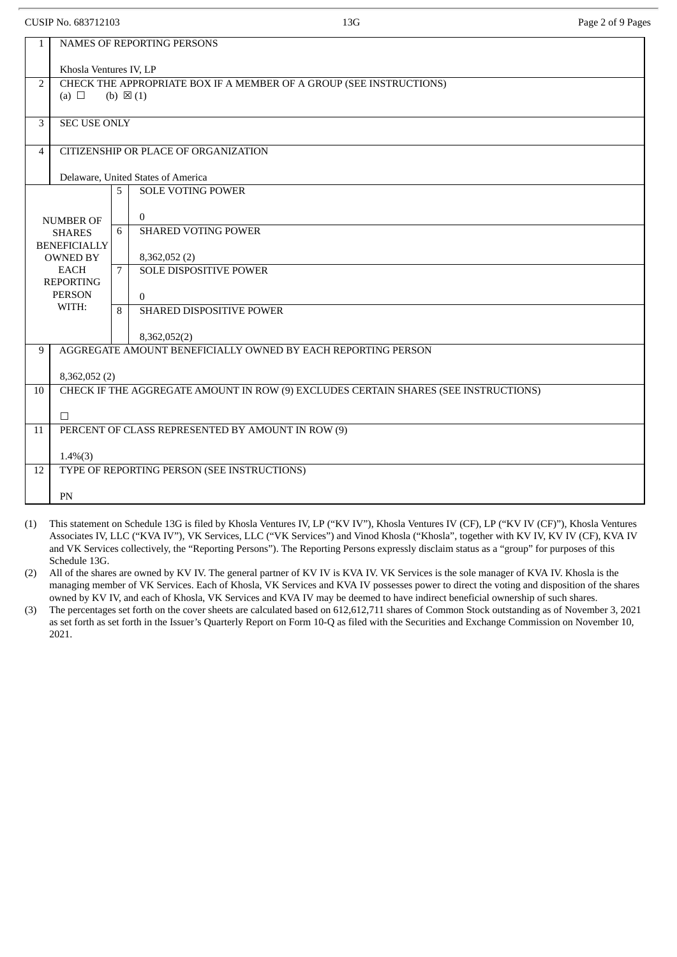|                  | CUSIP No. 683712103                                                                                      |   | 13G                                                                                 | Page 2 of 9 Pages |  |  |  |  |  |
|------------------|----------------------------------------------------------------------------------------------------------|---|-------------------------------------------------------------------------------------|-------------------|--|--|--|--|--|
| $\mathbf{1}$     | NAMES OF REPORTING PERSONS                                                                               |   |                                                                                     |                   |  |  |  |  |  |
|                  | Khosla Ventures IV, LP                                                                                   |   |                                                                                     |                   |  |  |  |  |  |
| $\overline{2}$   | CHECK THE APPROPRIATE BOX IF A MEMBER OF A GROUP (SEE INSTRUCTIONS)<br>(a) $\Box$<br>(b) $\boxtimes$ (1) |   |                                                                                     |                   |  |  |  |  |  |
| $\mathcal{E}$    | <b>SEC USE ONLY</b>                                                                                      |   |                                                                                     |                   |  |  |  |  |  |
| 4                |                                                                                                          |   | CITIZENSHIP OR PLACE OF ORGANIZATION                                                |                   |  |  |  |  |  |
|                  |                                                                                                          |   | Delaware, United States of America                                                  |                   |  |  |  |  |  |
|                  |                                                                                                          | 5 | <b>SOLE VOTING POWER</b>                                                            |                   |  |  |  |  |  |
|                  | <b>NUMBER OF</b>                                                                                         |   | $\Omega$                                                                            |                   |  |  |  |  |  |
|                  | <b>SHARES</b>                                                                                            | 6 | <b>SHARED VOTING POWER</b>                                                          |                   |  |  |  |  |  |
|                  | <b>BENEFICIALLY</b>                                                                                      |   |                                                                                     |                   |  |  |  |  |  |
|                  | <b>OWNED BY</b><br><b>EACH</b>                                                                           |   | 8,362,052 (2)<br><b>SOLE DISPOSITIVE POWER</b>                                      |                   |  |  |  |  |  |
| <b>REPORTING</b> |                                                                                                          | 7 |                                                                                     |                   |  |  |  |  |  |
|                  | <b>PERSON</b>                                                                                            |   | $\Omega$                                                                            |                   |  |  |  |  |  |
|                  | WITH:                                                                                                    | 8 | <b>SHARED DISPOSITIVE POWER</b>                                                     |                   |  |  |  |  |  |
|                  |                                                                                                          |   | 8,362,052(2)                                                                        |                   |  |  |  |  |  |
| 9                |                                                                                                          |   | AGGREGATE AMOUNT BENEFICIALLY OWNED BY EACH REPORTING PERSON                        |                   |  |  |  |  |  |
|                  | 8,362,052 (2)                                                                                            |   |                                                                                     |                   |  |  |  |  |  |
| 10               |                                                                                                          |   | CHECK IF THE AGGREGATE AMOUNT IN ROW (9) EXCLUDES CERTAIN SHARES (SEE INSTRUCTIONS) |                   |  |  |  |  |  |
|                  | $\Box$                                                                                                   |   |                                                                                     |                   |  |  |  |  |  |
| 11               |                                                                                                          |   | PERCENT OF CLASS REPRESENTED BY AMOUNT IN ROW (9)                                   |                   |  |  |  |  |  |
|                  | $1.4\%(3)$                                                                                               |   |                                                                                     |                   |  |  |  |  |  |
| 12               |                                                                                                          |   | TYPE OF REPORTING PERSON (SEE INSTRUCTIONS)                                         |                   |  |  |  |  |  |
|                  | PN                                                                                                       |   |                                                                                     |                   |  |  |  |  |  |
|                  |                                                                                                          |   |                                                                                     |                   |  |  |  |  |  |

- (1) This statement on Schedule 13G is filed by Khosla Ventures IV, LP ("KV IV"), Khosla Ventures IV (CF), LP ("KV IV (CF)"), Khosla Ventures Associates IV, LLC ("KVA IV"), VK Services, LLC ("VK Services") and Vinod Khosla ("Khosla", together with KV IV, KV IV (CF), KVA IV and VK Services collectively, the "Reporting Persons"). The Reporting Persons expressly disclaim status as a "group" for purposes of this Schedule 13G.
- (2) All of the shares are owned by KV IV. The general partner of KV IV is KVA IV. VK Services is the sole manager of KVA IV. Khosla is the managing member of VK Services. Each of Khosla, VK Services and KVA IV possesses power to direct the voting and disposition of the shares owned by KV IV, and each of Khosla, VK Services and KVA IV may be deemed to have indirect beneficial ownership of such shares.
- (3) The percentages set forth on the cover sheets are calculated based on 612,612,711 shares of Common Stock outstanding as of November 3, 2021 as set forth as set forth in the Issuer's Quarterly Report on Form 10-Q as filed with the Securities and Exchange Commission on November 10, 2021.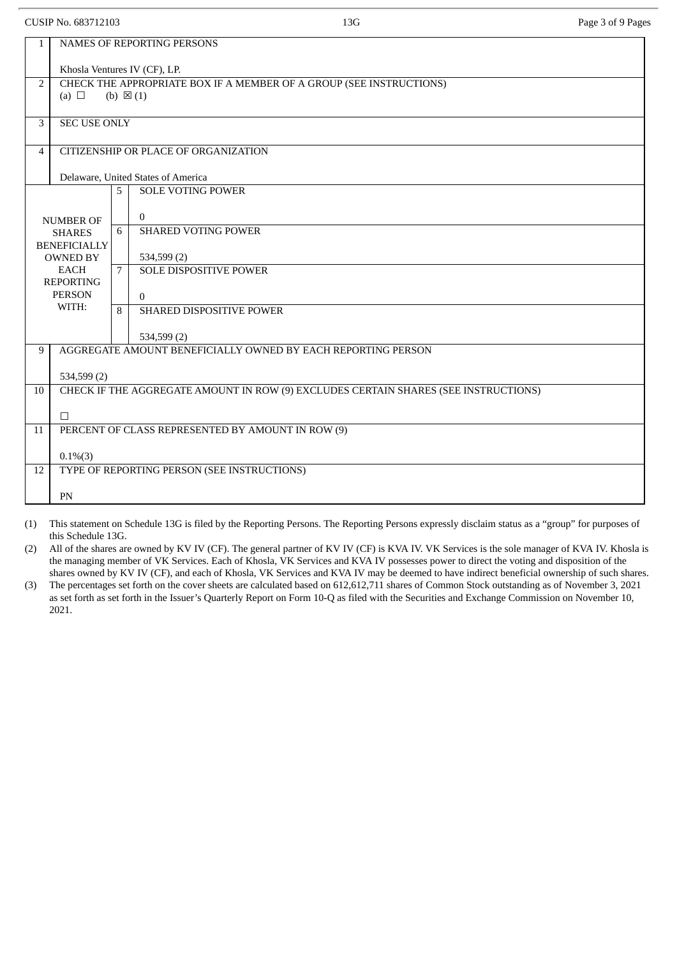| CUSIP No. 683712103 |                                        |   | 13G                                                                                        | Page 3 of 9 Pages |  |  |  |  |  |
|---------------------|----------------------------------------|---|--------------------------------------------------------------------------------------------|-------------------|--|--|--|--|--|
| 1                   | <b>NAMES OF REPORTING PERSONS</b>      |   |                                                                                            |                   |  |  |  |  |  |
|                     | Khosla Ventures IV (CF), LP.           |   |                                                                                            |                   |  |  |  |  |  |
| $\overline{2}$      | (a) $\Box$                             |   | CHECK THE APPROPRIATE BOX IF A MEMBER OF A GROUP (SEE INSTRUCTIONS)<br>(b) $\boxtimes$ (1) |                   |  |  |  |  |  |
|                     |                                        |   |                                                                                            |                   |  |  |  |  |  |
| 3                   | <b>SEC USE ONLY</b>                    |   |                                                                                            |                   |  |  |  |  |  |
| $\overline{4}$      |                                        |   | CITIZENSHIP OR PLACE OF ORGANIZATION                                                       |                   |  |  |  |  |  |
|                     |                                        |   | Delaware, United States of America                                                         |                   |  |  |  |  |  |
|                     |                                        | 5 | <b>SOLE VOTING POWER</b>                                                                   |                   |  |  |  |  |  |
|                     | <b>NUMBER OF</b>                       |   | $\mathbf{0}$                                                                               |                   |  |  |  |  |  |
|                     | <b>SHARES</b>                          | 6 | <b>SHARED VOTING POWER</b>                                                                 |                   |  |  |  |  |  |
|                     | <b>BENEFICIALLY</b><br><b>OWNED BY</b> |   | 534,599 (2)                                                                                |                   |  |  |  |  |  |
|                     | <b>EACH</b><br><b>REPORTING</b>        |   | <b>SOLE DISPOSITIVE POWER</b>                                                              |                   |  |  |  |  |  |
|                     | <b>PERSON</b>                          |   | $\Omega$                                                                                   |                   |  |  |  |  |  |
|                     | WITH:                                  | 8 | SHARED DISPOSITIVE POWER                                                                   |                   |  |  |  |  |  |
|                     |                                        |   | 534,599 (2)                                                                                |                   |  |  |  |  |  |
| 9                   |                                        |   | AGGREGATE AMOUNT BENEFICIALLY OWNED BY EACH REPORTING PERSON                               |                   |  |  |  |  |  |
|                     | 534,599 (2)                            |   |                                                                                            |                   |  |  |  |  |  |
| 10                  |                                        |   | CHECK IF THE AGGREGATE AMOUNT IN ROW (9) EXCLUDES CERTAIN SHARES (SEE INSTRUCTIONS)        |                   |  |  |  |  |  |
|                     | $\Box$                                 |   |                                                                                            |                   |  |  |  |  |  |
| 11                  |                                        |   | PERCENT OF CLASS REPRESENTED BY AMOUNT IN ROW (9)                                          |                   |  |  |  |  |  |
|                     | $0.1\%(3)$                             |   |                                                                                            |                   |  |  |  |  |  |
| 12                  |                                        |   | TYPE OF REPORTING PERSON (SEE INSTRUCTIONS)                                                |                   |  |  |  |  |  |
|                     | PN                                     |   |                                                                                            |                   |  |  |  |  |  |

(1) This statement on Schedule 13G is filed by the Reporting Persons. The Reporting Persons expressly disclaim status as a "group" for purposes of this Schedule 13G.

(2) All of the shares are owned by KV IV (CF). The general partner of KV IV (CF) is KVA IV. VK Services is the sole manager of KVA IV. Khosla is the managing member of VK Services. Each of Khosla, VK Services and KVA IV possesses power to direct the voting and disposition of the shares owned by KV IV (CF), and each of Khosla, VK Services and KVA IV may be deemed to have indirect beneficial ownership of such shares.

(3) The percentages set forth on the cover sheets are calculated based on 612,612,711 shares of Common Stock outstanding as of November 3, 2021 as set forth as set forth in the Issuer's Quarterly Report on Form 10-Q as filed with the Securities and Exchange Commission on November 10, 2021.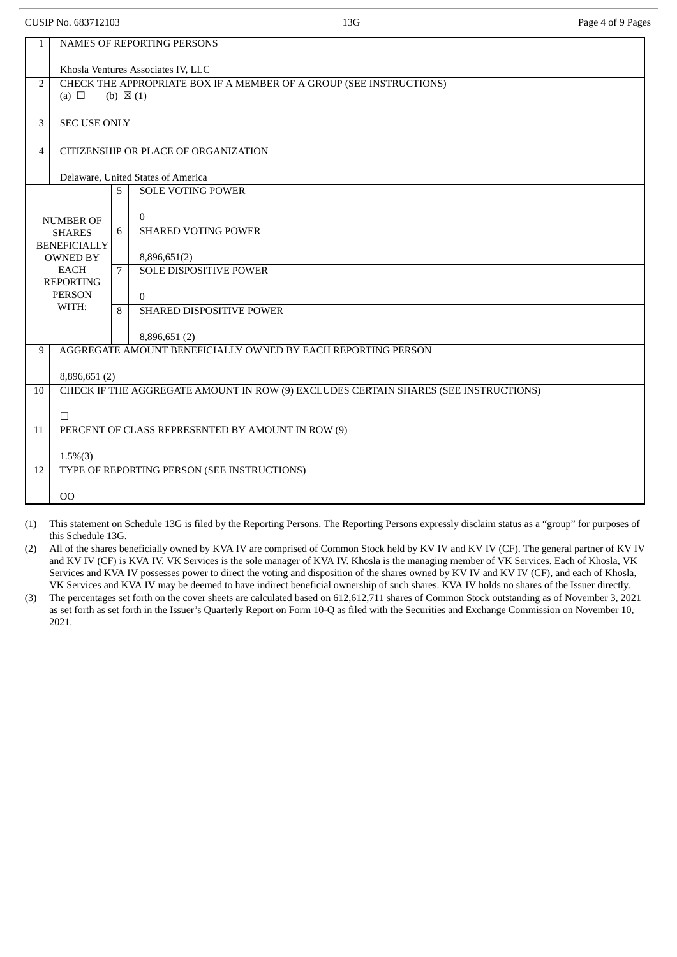1.5%(3)

this Schedule 13G.

OO

12 TYPE OF REPORTING PERSON (SEE INSTRUCTIONS)

| CUSIP No. 683712103 |                                        |                                                                     | 13G                                                                                 | Page 4 of 9 Pages |  |  |  |  |
|---------------------|----------------------------------------|---------------------------------------------------------------------|-------------------------------------------------------------------------------------|-------------------|--|--|--|--|
| $\mathbf{1}$        | <b>NAMES OF REPORTING PERSONS</b>      |                                                                     |                                                                                     |                   |  |  |  |  |
|                     |                                        |                                                                     | Khosla Ventures Associates IV, LLC                                                  |                   |  |  |  |  |
| $\overline{2}$      |                                        | CHECK THE APPROPRIATE BOX IF A MEMBER OF A GROUP (SEE INSTRUCTIONS) |                                                                                     |                   |  |  |  |  |
|                     | (a) $\Box$                             |                                                                     | (b) $\boxtimes$ (1)                                                                 |                   |  |  |  |  |
| 3                   | <b>SEC USE ONLY</b>                    |                                                                     |                                                                                     |                   |  |  |  |  |
| 4                   |                                        |                                                                     | CITIZENSHIP OR PLACE OF ORGANIZATION                                                |                   |  |  |  |  |
|                     |                                        |                                                                     | Delaware, United States of America                                                  |                   |  |  |  |  |
|                     |                                        | 5                                                                   | <b>SOLE VOTING POWER</b>                                                            |                   |  |  |  |  |
|                     | <b>NUMBER OF</b>                       |                                                                     | $\mathbf{0}$                                                                        |                   |  |  |  |  |
|                     | <b>SHARES</b>                          |                                                                     | <b>SHARED VOTING POWER</b>                                                          |                   |  |  |  |  |
|                     | <b>BENEFICIALLY</b><br><b>OWNED BY</b> |                                                                     | 8,896,651(2)                                                                        |                   |  |  |  |  |
|                     | EACH                                   |                                                                     | <b>SOLE DISPOSITIVE POWER</b>                                                       |                   |  |  |  |  |
|                     | <b>REPORTING</b><br><b>PERSON</b>      |                                                                     | $\Omega$                                                                            |                   |  |  |  |  |
|                     | WITH:                                  |                                                                     | <b>SHARED DISPOSITIVE POWER</b>                                                     |                   |  |  |  |  |
|                     |                                        |                                                                     | 8,896,651 (2)                                                                       |                   |  |  |  |  |
| 9                   |                                        |                                                                     | AGGREGATE AMOUNT BENEFICIALLY OWNED BY EACH REPORTING PERSON                        |                   |  |  |  |  |
|                     | 8,896,651 (2)                          |                                                                     |                                                                                     |                   |  |  |  |  |
| 10 <sup>1</sup>     |                                        |                                                                     | CHECK IF THE AGGREGATE AMOUNT IN ROW (9) EXCLUDES CERTAIN SHARES (SEE INSTRUCTIONS) |                   |  |  |  |  |
|                     |                                        |                                                                     |                                                                                     |                   |  |  |  |  |
| 11                  | П                                      |                                                                     | PERCENT OF CLASS REPRESENTED BY AMOUNT IN ROW (9)                                   |                   |  |  |  |  |
|                     |                                        |                                                                     |                                                                                     |                   |  |  |  |  |

VK Services and KVA IV may be deemed to have indirect beneficial ownership of such shares. KVA IV holds no shares of the Issuer directly. (3) The percentages set forth on the cover sheets are calculated based on 612,612,711 shares of Common Stock outstanding as of November 3, 2021 as set forth as set forth in the Issuer's Quarterly Report on Form 10-Q as filed with the Securities and Exchange Commission on November 10, 2021.

(1) This statement on Schedule 13G is filed by the Reporting Persons. The Reporting Persons expressly disclaim status as a "group" for purposes of

(2) All of the shares beneficially owned by KVA IV are comprised of Common Stock held by KV IV and KV IV (CF). The general partner of KV IV and KV IV (CF) is KVA IV. VK Services is the sole manager of KVA IV. Khosla is the managing member of VK Services. Each of Khosla, VK Services and KVA IV possesses power to direct the voting and disposition of the shares owned by KV IV and KV IV (CF), and each of Khosla,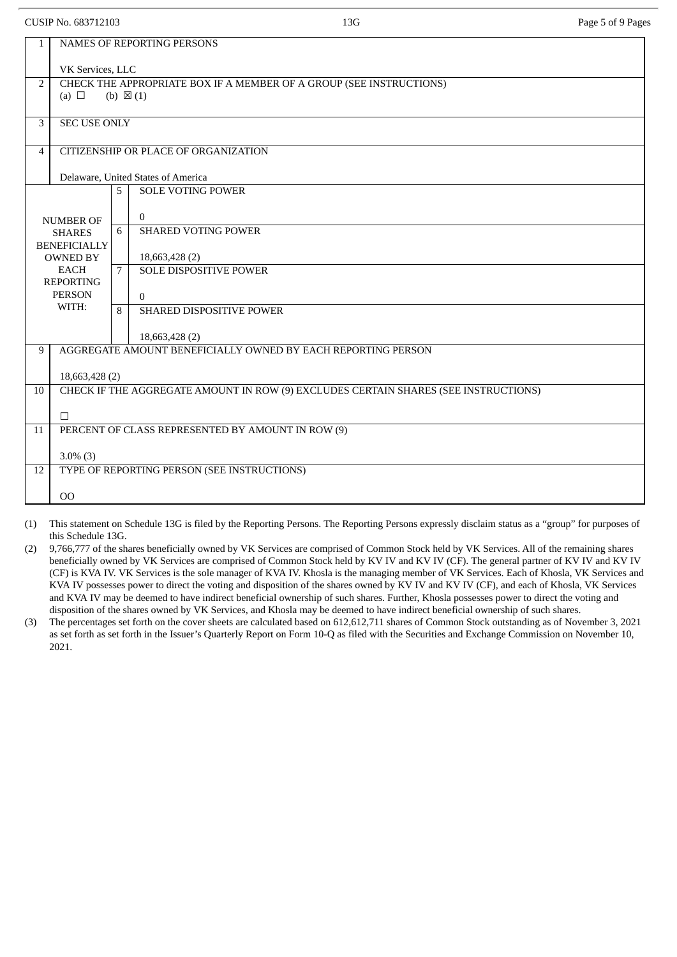|                | CUSIP No. 683712103                                                                                      |   | 13G                                                                                 | Page 5 of 9 Pages |  |  |  |  |
|----------------|----------------------------------------------------------------------------------------------------------|---|-------------------------------------------------------------------------------------|-------------------|--|--|--|--|
| $\mathbf{1}$   | NAMES OF REPORTING PERSONS                                                                               |   |                                                                                     |                   |  |  |  |  |
|                | VK Services, LLC                                                                                         |   |                                                                                     |                   |  |  |  |  |
| $\overline{2}$ | CHECK THE APPROPRIATE BOX IF A MEMBER OF A GROUP (SEE INSTRUCTIONS)<br>(a) $\Box$<br>(b) $\boxtimes$ (1) |   |                                                                                     |                   |  |  |  |  |
| 3              | <b>SEC USE ONLY</b>                                                                                      |   |                                                                                     |                   |  |  |  |  |
| 4              |                                                                                                          |   | CITIZENSHIP OR PLACE OF ORGANIZATION                                                |                   |  |  |  |  |
|                |                                                                                                          |   | Delaware, United States of America                                                  |                   |  |  |  |  |
|                |                                                                                                          | 5 | <b>SOLE VOTING POWER</b>                                                            |                   |  |  |  |  |
|                | <b>NUMBER OF</b>                                                                                         |   | $\overline{0}$                                                                      |                   |  |  |  |  |
|                | <b>SHARES</b>                                                                                            | 6 | <b>SHARED VOTING POWER</b>                                                          |                   |  |  |  |  |
|                | <b>BENEFICIALLY</b><br><b>OWNED BY</b>                                                                   |   | 18,663,428 (2)                                                                      |                   |  |  |  |  |
|                | <b>EACH</b>                                                                                              | 7 | <b>SOLE DISPOSITIVE POWER</b>                                                       |                   |  |  |  |  |
|                | <b>REPORTING</b><br><b>PERSON</b>                                                                        |   | $\Omega$                                                                            |                   |  |  |  |  |
|                | WITH:                                                                                                    | 8 | SHARED DISPOSITIVE POWER                                                            |                   |  |  |  |  |
|                |                                                                                                          |   |                                                                                     |                   |  |  |  |  |
| 9              |                                                                                                          |   | 18,663,428 (2)<br>AGGREGATE AMOUNT BENEFICIALLY OWNED BY EACH REPORTING PERSON      |                   |  |  |  |  |
|                |                                                                                                          |   |                                                                                     |                   |  |  |  |  |
|                | 18,663,428 (2)                                                                                           |   |                                                                                     |                   |  |  |  |  |
| 10             |                                                                                                          |   | CHECK IF THE AGGREGATE AMOUNT IN ROW (9) EXCLUDES CERTAIN SHARES (SEE INSTRUCTIONS) |                   |  |  |  |  |
|                | $\Box$                                                                                                   |   |                                                                                     |                   |  |  |  |  |
| 11             | PERCENT OF CLASS REPRESENTED BY AMOUNT IN ROW (9)                                                        |   |                                                                                     |                   |  |  |  |  |
|                | $3.0\%$ (3)                                                                                              |   |                                                                                     |                   |  |  |  |  |
| 12             |                                                                                                          |   | TYPE OF REPORTING PERSON (SEE INSTRUCTIONS)                                         |                   |  |  |  |  |
|                |                                                                                                          |   |                                                                                     |                   |  |  |  |  |
|                | 00                                                                                                       |   |                                                                                     |                   |  |  |  |  |

(1) This statement on Schedule 13G is filed by the Reporting Persons. The Reporting Persons expressly disclaim status as a "group" for purposes of this Schedule 13G.

(2) 9,766,777 of the shares beneficially owned by VK Services are comprised of Common Stock held by VK Services. All of the remaining shares beneficially owned by VK Services are comprised of Common Stock held by KV IV and KV IV (CF). The general partner of KV IV and KV IV (CF) is KVA IV. VK Services is the sole manager of KVA IV. Khosla is the managing member of VK Services. Each of Khosla, VK Services and KVA IV possesses power to direct the voting and disposition of the shares owned by KV IV and KV IV (CF), and each of Khosla, VK Services and KVA IV may be deemed to have indirect beneficial ownership of such shares. Further, Khosla possesses power to direct the voting and disposition of the shares owned by VK Services, and Khosla may be deemed to have indirect beneficial ownership of such shares.

(3) The percentages set forth on the cover sheets are calculated based on 612,612,711 shares of Common Stock outstanding as of November 3, 2021 as set forth as set forth in the Issuer's Quarterly Report on Form 10-Q as filed with the Securities and Exchange Commission on November 10, 2021.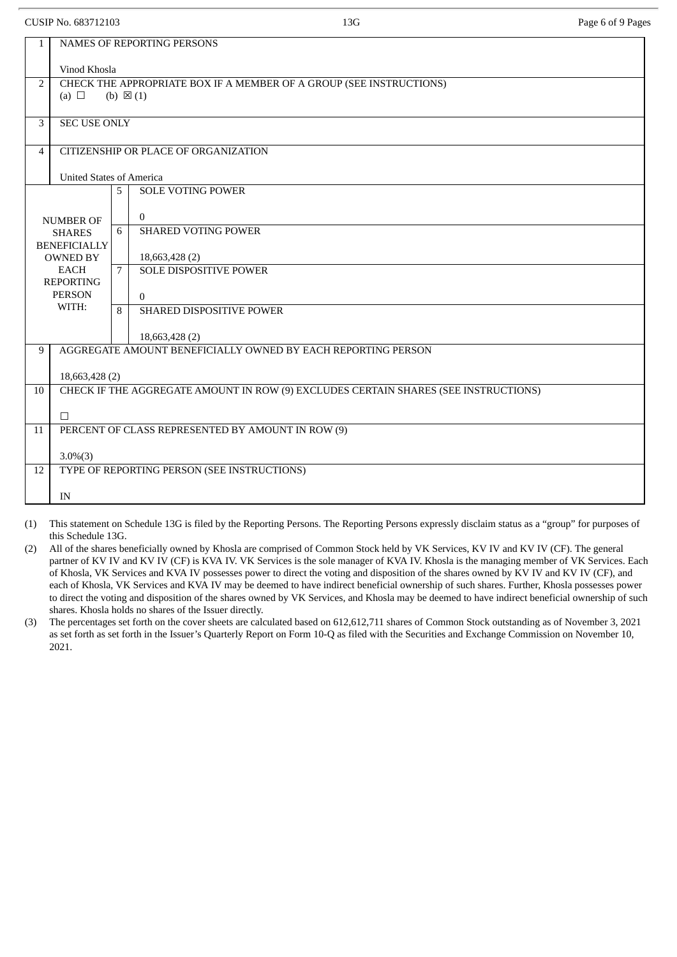CUSIP No. 683712103 **Page 6 of 9 Pages** Page 6 of 9 Pages

| Page 6 o |
|----------|
|          |

| $\mathbf{1}$        | NAMES OF REPORTING PERSONS                                                          |             |                                                              |  |  |  |  |  |  |
|---------------------|-------------------------------------------------------------------------------------|-------------|--------------------------------------------------------------|--|--|--|--|--|--|
|                     | Vinod Khosla                                                                        |             |                                                              |  |  |  |  |  |  |
| $\overline{2}$      | CHECK THE APPROPRIATE BOX IF A MEMBER OF A GROUP (SEE INSTRUCTIONS)                 |             |                                                              |  |  |  |  |  |  |
|                     | (a) $\Box$<br>(b) $\boxtimes$ (1)                                                   |             |                                                              |  |  |  |  |  |  |
| 3                   | <b>SEC USE ONLY</b>                                                                 |             |                                                              |  |  |  |  |  |  |
|                     |                                                                                     |             |                                                              |  |  |  |  |  |  |
| 4                   |                                                                                     |             | CITIZENSHIP OR PLACE OF ORGANIZATION                         |  |  |  |  |  |  |
|                     | <b>United States of America</b>                                                     |             |                                                              |  |  |  |  |  |  |
|                     |                                                                                     | 5           | <b>SOLE VOTING POWER</b>                                     |  |  |  |  |  |  |
|                     |                                                                                     |             | $\overline{0}$                                               |  |  |  |  |  |  |
|                     | <b>NUMBER OF</b><br><b>SHARES</b>                                                   | 6           | <b>SHARED VOTING POWER</b>                                   |  |  |  |  |  |  |
| <b>BENEFICIALLY</b> |                                                                                     |             |                                                              |  |  |  |  |  |  |
|                     | <b>OWNED BY</b><br>EACH                                                             | $7^{\circ}$ | 18,663,428 (2)<br><b>SOLE DISPOSITIVE POWER</b>              |  |  |  |  |  |  |
|                     | <b>REPORTING</b>                                                                    |             |                                                              |  |  |  |  |  |  |
|                     | <b>PERSON</b><br>WITH:                                                              |             | $\theta$                                                     |  |  |  |  |  |  |
|                     |                                                                                     | 8           | SHARED DISPOSITIVE POWER                                     |  |  |  |  |  |  |
|                     |                                                                                     |             | 18,663,428 (2)                                               |  |  |  |  |  |  |
| 9                   |                                                                                     |             | AGGREGATE AMOUNT BENEFICIALLY OWNED BY EACH REPORTING PERSON |  |  |  |  |  |  |
|                     | 18,663,428 (2)                                                                      |             |                                                              |  |  |  |  |  |  |
| 10                  | CHECK IF THE AGGREGATE AMOUNT IN ROW (9) EXCLUDES CERTAIN SHARES (SEE INSTRUCTIONS) |             |                                                              |  |  |  |  |  |  |
|                     | $\Box$                                                                              |             |                                                              |  |  |  |  |  |  |
| 11                  | PERCENT OF CLASS REPRESENTED BY AMOUNT IN ROW (9)                                   |             |                                                              |  |  |  |  |  |  |
|                     |                                                                                     |             |                                                              |  |  |  |  |  |  |
| 12                  | $3.0\%(3)$<br>TYPE OF REPORTING PERSON (SEE INSTRUCTIONS)                           |             |                                                              |  |  |  |  |  |  |
|                     |                                                                                     |             |                                                              |  |  |  |  |  |  |
|                     | IN                                                                                  |             |                                                              |  |  |  |  |  |  |

(1) This statement on Schedule 13G is filed by the Reporting Persons. The Reporting Persons expressly disclaim status as a "group" for purposes of this Schedule 13G.

(2) All of the shares beneficially owned by Khosla are comprised of Common Stock held by VK Services, KV IV and KV IV (CF). The general partner of KV IV and KV IV (CF) is KVA IV. VK Services is the sole manager of KVA IV. Khosla is the managing member of VK Services. Each of Khosla, VK Services and KVA IV possesses power to direct the voting and disposition of the shares owned by KV IV and KV IV (CF), and each of Khosla, VK Services and KVA IV may be deemed to have indirect beneficial ownership of such shares. Further, Khosla possesses power to direct the voting and disposition of the shares owned by VK Services, and Khosla may be deemed to have indirect beneficial ownership of such shares. Khosla holds no shares of the Issuer directly.

(3) The percentages set forth on the cover sheets are calculated based on 612,612,711 shares of Common Stock outstanding as of November 3, 2021 as set forth as set forth in the Issuer's Quarterly Report on Form 10-Q as filed with the Securities and Exchange Commission on November 10, 2021.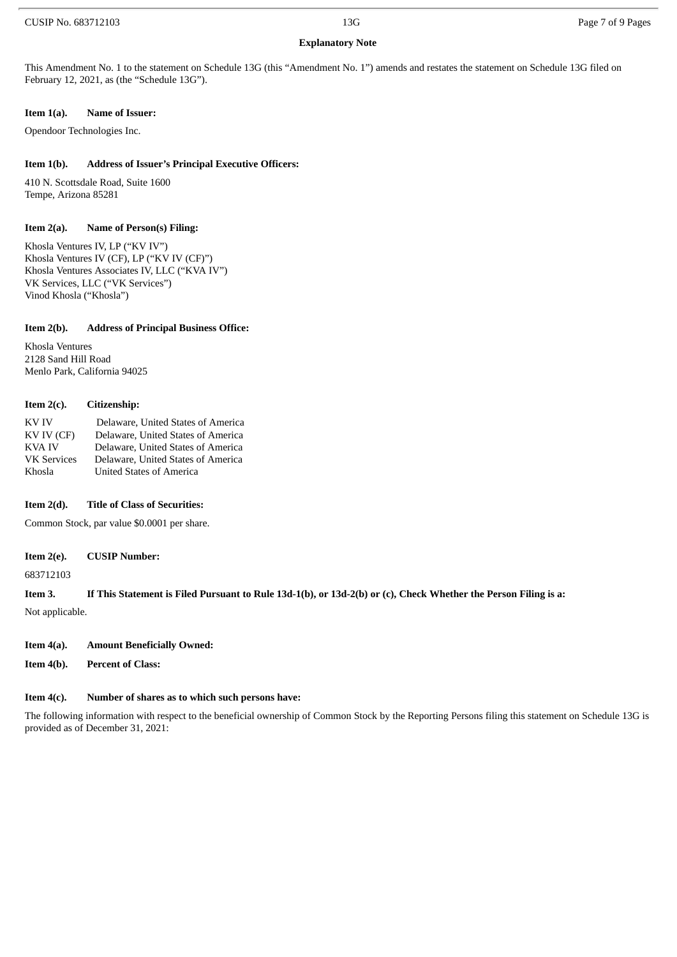### **Explanatory Note**

This Amendment No. 1 to the statement on Schedule 13G (this "Amendment No. 1") amends and restates the statement on Schedule 13G filed on February 12, 2021, as (the "Schedule 13G").

#### **Item 1(a). Name of Issuer:**

Opendoor Technologies Inc.

#### **Item 1(b). Address of Issuer's Principal Executive Officers:**

410 N. Scottsdale Road, Suite 1600 Tempe, Arizona 85281

#### **Item 2(a). Name of Person(s) Filing:**

Khosla Ventures IV, LP ("KV IV") Khosla Ventures IV (CF), LP ("KV IV (CF)") Khosla Ventures Associates IV, LLC ("KVA IV") VK Services, LLC ("VK Services") Vinod Khosla ("Khosla")

#### **Item 2(b). Address of Principal Business Office:**

Khosla Ventures 2128 Sand Hill Road Menlo Park, California 94025

#### **Item 2(c). Citizenship:**

KV IV Delaware, United States of America KV IV (CF) Delaware, United States of America KVA IV Delaware, United States of America VK Services Delaware, United States of America Khosla United States of America

#### **Item 2(d). Title of Class of Securities:**

Common Stock, par value \$0.0001 per share.

#### **Item 2(e). CUSIP Number:**

683712103

#### Item 3. If This Statement is Filed Pursuant to Rule 13d-1(b), or 13d-2(b) or (c), Check Whether the Person Filing is a:

Not applicable.

#### **Item 4(a). Amount Beneficially Owned:**

**Item 4(b). Percent of Class:**

#### **Item 4(c). Number of shares as to which such persons have:**

The following information with respect to the beneficial ownership of Common Stock by the Reporting Persons filing this statement on Schedule 13G is provided as of December 31, 2021: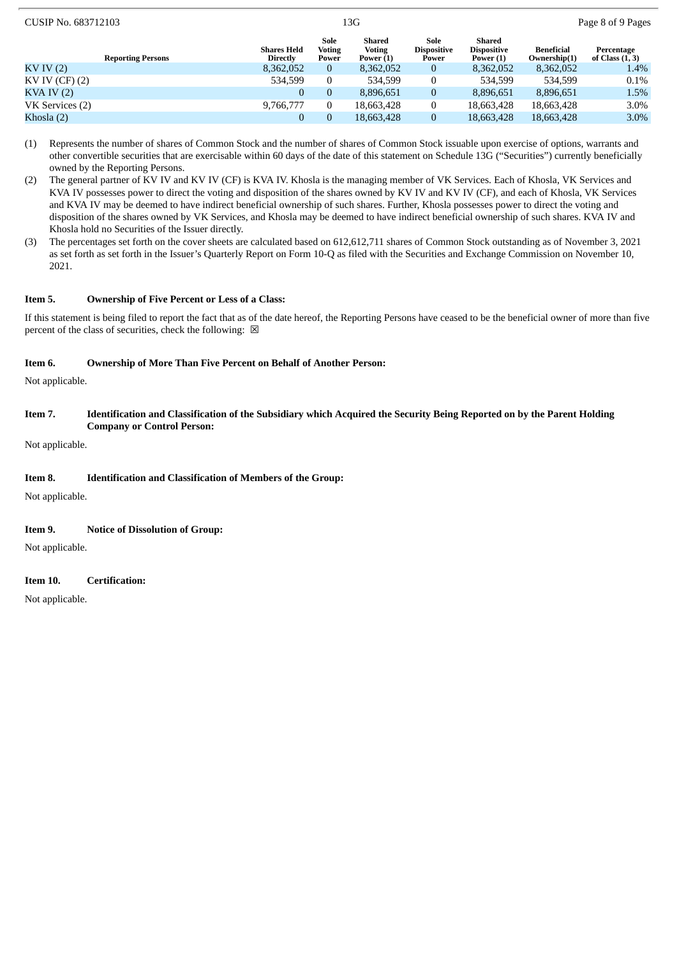| CUSIP No. 683712103      | 13G                                   |                                |                                      |                                     |                                             | Page 8 of 9 Pages                 |                                 |  |
|--------------------------|---------------------------------------|--------------------------------|--------------------------------------|-------------------------------------|---------------------------------------------|-----------------------------------|---------------------------------|--|
| <b>Reporting Persons</b> | <b>Shares Held</b><br><b>Directly</b> | Sole<br><b>Voting</b><br>Power | Shared<br><b>Voting</b><br>Power (1) | Sole<br><b>Dispositive</b><br>Power | Shared<br><b>Dispositive</b><br>Power $(1)$ | <b>Beneficial</b><br>Ownership(1) | Percentage<br>of Class $(1, 3)$ |  |
| KV IV(2)                 | 8,362,052                             | $\overline{0}$                 | 8,362,052                            | $\bf{0}$                            | 8,362,052                                   | 8,362,052                         | 1.4%                            |  |
| KV IV (CF) (2)           | 534.599                               | $\bf{0}$                       | 534.599                              | $\mathbf{0}$                        | 534.599                                     | 534.599                           | 0.1%                            |  |
| $KVA$ IV $(2)$           | 0                                     | $\mathbf{0}$                   | 8,896,651                            | $\bf{0}$                            | 8,896,651                                   | 8,896,651                         | 1.5%                            |  |
| VK Services (2)          | 9,766,777                             | 0                              | 18,663,428                           | $\bf{0}$                            | 18,663,428                                  | 18.663.428                        | 3.0%                            |  |
| Khosla (2)               |                                       | $\overline{0}$                 | 18,663,428                           |                                     | 18,663,428                                  | 18,663,428                        | $3.0\%$                         |  |

- (1) Represents the number of shares of Common Stock and the number of shares of Common Stock issuable upon exercise of options, warrants and other convertible securities that are exercisable within 60 days of the date of this statement on Schedule 13G ("Securities") currently beneficially owned by the Reporting Persons.
- (2) The general partner of KV IV and KV IV (CF) is KVA IV. Khosla is the managing member of VK Services. Each of Khosla, VK Services and KVA IV possesses power to direct the voting and disposition of the shares owned by KV IV and KV IV (CF), and each of Khosla, VK Services and KVA IV may be deemed to have indirect beneficial ownership of such shares. Further, Khosla possesses power to direct the voting and disposition of the shares owned by VK Services, and Khosla may be deemed to have indirect beneficial ownership of such shares. KVA IV and Khosla hold no Securities of the Issuer directly.
- (3) The percentages set forth on the cover sheets are calculated based on 612,612,711 shares of Common Stock outstanding as of November 3, 2021 as set forth as set forth in the Issuer's Quarterly Report on Form 10-Q as filed with the Securities and Exchange Commission on November 10, 2021.

#### **Item 5. Ownership of Five Percent or Less of a Class:**

If this statement is being filed to report the fact that as of the date hereof, the Reporting Persons have ceased to be the beneficial owner of more than five percent of the class of securities, check the following:  $\boxtimes$ 

#### **Item 6. Ownership of More Than Five Percent on Behalf of Another Person:**

Not applicable.

Item 7. Identification and Classification of the Subsidiary which Acquired the Security Being Reported on by the Parent Holding **Company or Control Person:**

Not applicable.

#### **Item 8. Identification and Classification of Members of the Group:**

Not applicable.

#### **Item 9. Notice of Dissolution of Group:**

Not applicable.

#### **Item 10. Certification:**

Not applicable.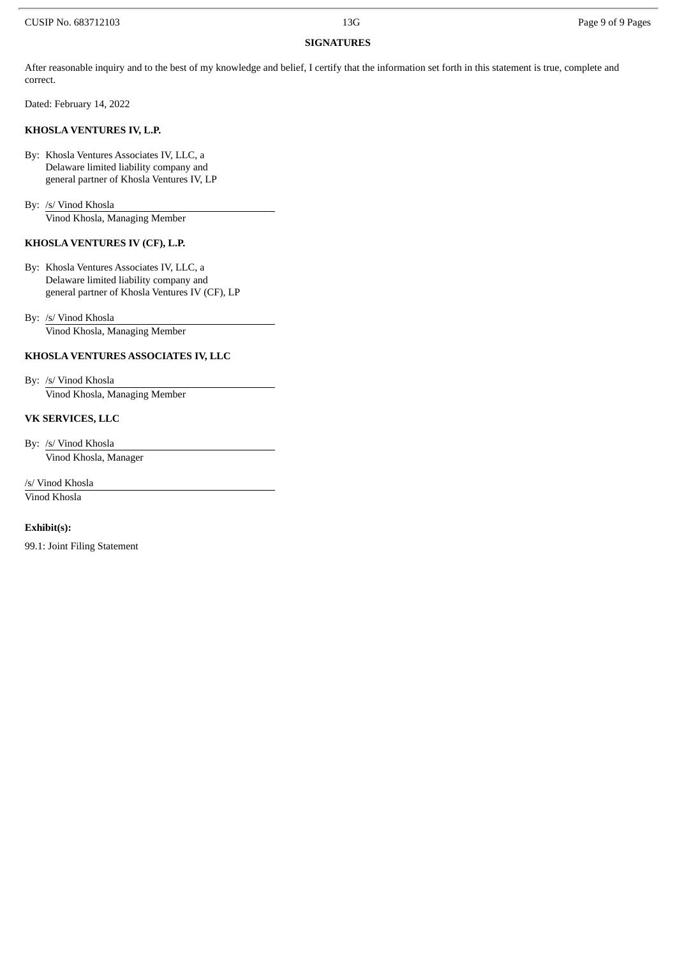#### **SIGNATURES**

After reasonable inquiry and to the best of my knowledge and belief, I certify that the information set forth in this statement is true, complete and correct.

Dated: February 14, 2022

#### **KHOSLA VENTURES IV, L.P.**

By: Khosla Ventures Associates IV, LLC, a Delaware limited liability company and general partner of Khosla Ventures IV, LP

By: /s/ Vinod Khosla Vinod Khosla, Managing Member

### **KHOSLA VENTURES IV (CF), L.P.**

By: Khosla Ventures Associates IV, LLC, a Delaware limited liability company and general partner of Khosla Ventures IV (CF), LP

By: /s/ Vinod Khosla Vinod Khosla, Managing Member

#### **KHOSLA VENTURES ASSOCIATES IV, LLC**

By: /s/ Vinod Khosla Vinod Khosla, Managing Member

#### **VK SERVICES, LLC**

By: /s/ Vinod Khosla Vinod Khosla, Manager

/s/ Vinod Khosla Vinod Khosla

#### **Exhibit(s):**

99.1: Joint Filing Statement